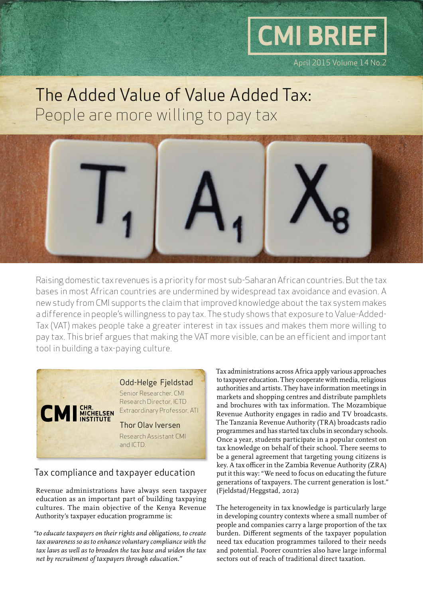

# The Added Value of Value Added Tax: People are more willing to pay tax



Raising domestic tax revenues is a priority for most sub-Saharan African countries. But the tax bases in most African countries are undermined by widespread tax avoidance and evasion. A new study from CMI supports the claim that improved knowledge about the tax system makes a difference in people's willingness to pay tax. The study shows that exposure to Value-Added-Tax (VAT) makes people take a greater interest in tax issues and makes them more willing to pay tax. This brief argues that making the VAT more visible, can be an efficient and important tool in building a tax-paying culture.



## Tax compliance and taxpayer education

Revenue administrations have always seen taxpayer education as an important part of building taxpaying cultures. The main objective of the Kenya Revenue Authority's taxpayer education programme is:

*"to educate taxpayers on their rights and obligations, to create tax awareness so as to enhance voluntary compliance with the tax laws as well as to broaden the tax base and widen the tax net by recruitment of taxpayers through education."*

Tax administrations across Africa apply various approaches to taxpayer education. They cooperate with media, religious authorities and artists. They have information meetings in markets and shopping centres and distribute pamphlets and brochures with tax information. The Mozambique Revenue Authority engages in radio and TV broadcasts. The Tanzania Revenue Authority (TRA) broadcasts radio programmes and has started tax clubs in secondary schools. Once a year, students participate in a popular contest on tax knowledge on behalf of their school. There seems to be a general agreement that targeting young citizens is key. A tax officer in the Zambia Revenue Authority (ZRA) put it this way: "We need to focus on educating the future generations of taxpayers. The current generation is lost." (Fjeldstad/Heggstad, 2012)

The heterogeneity in tax knowledge is particularly large in developing country contexts where a small number of people and companies carry a large proportion of the tax burden. Different segments of the taxpayer population need tax education programmes tailored to their needs and potential. Poorer countries also have large informal sectors out of reach of traditional direct taxation.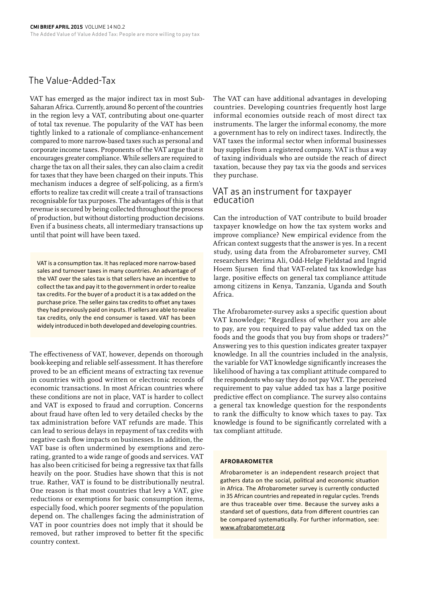## The Value-Added-Tax

VAT has emerged as the major indirect tax in most Sub-Saharan Africa. Currently, around 80 percent of the countries in the region levy a VAT, contributing about one-quarter of total tax revenue. The popularity of the VAT has been tightly linked to a rationale of compliance-enhancement compared to more narrow-based taxes such as personal and corporate income taxes. Proponents of the VAT argue that it encourages greater compliance. While sellers are required to charge the tax on all their sales, they can also claim a credit for taxes that they have been charged on their inputs. This mechanism induces a degree of self-policing, as a firm's efforts to realize tax credit will create a trail of transactions recognisable for tax purposes. The advantages of this is that revenue is secured by being collected throughout the process of production, but without distorting production decisions. Even if a business cheats, all intermediary transactions up until that point will have been taxed.

VAT is a consumption tax. It has replaced more narrow-based sales and turnover taxes in many countries. An advantage of the VAT over the sales tax is that sellers have an incentive to collect the tax and pay it to the government in order to realize tax credits. For the buyer of a product it is a tax added on the purchase price. The seller gains tax credits to offset any taxes they had previously paid on inputs. If sellers are able to realize tax credits, only the end consumer is taxed. VAT has been widely introduced in both developed and developing countries.

The effectiveness of VAT, however, depends on thorough book-keeping and reliable self-assessment. It has therefore proved to be an efficient means of extracting tax revenue in countries with good written or electronic records of economic transactions. In most African countries where these conditions are not in place, VAT is harder to collect and VAT is exposed to fraud and corruption. Concerns about fraud have often led to very detailed checks by the tax administration before VAT refunds are made. This can lead to serious delays in repayment of tax credits with negative cash flow impacts on businesses. In addition, the VAT base is often undermined by exemptions and zerorating, granted to a wide range of goods and services. VAT has also been criticised for being a regressive tax that falls heavily on the poor. Studies have shown that this is not true. Rather, VAT is found to be distributionally neutral. One reason is that most countries that levy a VAT, give reductions or exemptions for basic consumption items, especially food, which poorer segments of the population depend on. The challenges facing the administration of VAT in poor countries does not imply that it should be removed, but rather improved to better fit the specific country context.

The VAT can have additional advantages in developing countries. Developing countries frequently host large informal economies outside reach of most direct tax instruments. The larger the informal economy, the more a government has to rely on indirect taxes. Indirectly, the VAT taxes the informal sector when informal businesses buy supplies from a registered company. VAT is thus a way of taxing individuals who are outside the reach of direct taxation, because they pay tax via the goods and services they purchase.

## VAT as an instrument for taxpayer education

Can the introduction of VAT contribute to build broader taxpayer knowledge on how the tax system works and improve compliance? New empirical evidence from the African context suggests that the answer is yes. In a recent study, using data from the Afrobarometer survey, CMI researchers Merima Ali, Odd-Helge Fjeldstad and Ingrid Hoem Sjursen find that VAT-related tax knowledge has large, positive effects on general tax compliance attitude among citizens in Kenya, Tanzania, Uganda and South Africa.

The Afrobarometer-survey asks a specific question about VAT knowledge; "Regardless of whether you are able to pay, are you required to pay value added tax on the foods and the goods that you buy from shops or traders?" Answering yes to this question indicates greater taxpayer knowledge. In all the countries included in the analysis, the variable for VAT knowledge significantly increases the likelihood of having a tax compliant attitude compared to the respondents who say they do not pay VAT. The perceived requirement to pay value added tax has a large positive predictive effect on compliance. The survey also contains a general tax knowledge question for the respondents to rank the difficulty to know which taxes to pay. Tax knowledge is found to be significantly correlated with a tax compliant attitude.

### **AFROBAROMETER**

Afrobarometer is an independent research project that gathers data on the social, political and economic situation in Africa. The Afrobarometer survey is currently conducted in 35 African countries and repeated in regular cycles. Trends are thus traceable over time. Because the survey asks a standard set of questions, data from different countries can be compared systematically. For further information, see: www.afrobarometer.org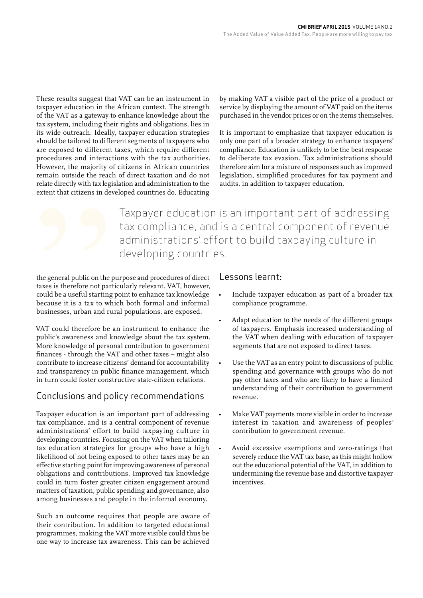These results suggest that VAT can be an instrument in taxpayer education in the African context. The strength of the VAT as a gateway to enhance knowledge about the tax system, including their rights and obligations, lies in its wide outreach. Ideally, taxpayer education strategies should be tailored to different segments of taxpayers who are exposed to different taxes, which require different procedures and interactions with the tax authorities. However, the majority of citizens in African countries remain outside the reach of direct taxation and do not relate directly with tax legislation and administration to the extent that citizens in developed countries do. Educating

by making VAT a visible part of the price of a product or service by displaying the amount of VAT paid on the items purchased in the vendor prices or on the items themselves.

It is important to emphasize that taxpayer education is only one part of a broader strategy to enhance taxpayers' compliance. Education is unlikely to be the best response to deliberate tax evasion. Tax administrations should therefore aim for a mixture of responses such as improved legislation, simplified procedures for tax payment and audits, in addition to taxpayer education.

Taxpayer education is an important part of addressing tax compliance, and is a central component of revenue administrations' effort to build taxpaying culture in developing countries.

the general public on the purpose and procedures of direct taxes is therefore not particularly relevant. VAT, however, could be a useful starting point to enhance tax knowledge because it is a tax to which both formal and informal businesses, urban and rural populations, are exposed.

VAT could therefore be an instrument to enhance the public's awareness and knowledge about the tax system. More knowledge of personal contribution to government finances - through the VAT and other taxes – might also contribute to increase citizens' demand for accountability and transparency in public finance management, which in turn could foster constructive state-citizen relations.

## Conclusions and policy recommendations

Taxpayer education is an important part of addressing tax compliance, and is a central component of revenue administrations' effort to build taxpaying culture in developing countries. Focusing on the VAT when tailoring tax education strategies for groups who have a high likelihood of not being exposed to other taxes may be an effective starting point for improving awareness of personal obligations and contributions. Improved tax knowledge could in turn foster greater citizen engagement around matters of taxation, public spending and governance, also among businesses and people in the informal economy.

Such an outcome requires that people are aware of their contribution. In addition to targeted educational programmes, making the VAT more visible could thus be one way to increase tax awareness. This can be achieved

## Lessons learnt:

- Include taxpayer education as part of a broader tax compliance programme.
- Adapt education to the needs of the different groups of taxpayers. Emphasis increased understanding of the VAT when dealing with education of taxpayer segments that are not exposed to direct taxes.
- Use the VAT as an entry point to discussions of public spending and governance with groups who do not pay other taxes and who are likely to have a limited understanding of their contribution to government revenue.
- Make VAT payments more visible in order to increase interest in taxation and awareness of peoples' contribution to government revenue.
- Avoid excessive exemptions and zero-ratings that severely reduce the VAT tax base, as this might hollow out the educational potential of the VAT, in addition to undermining the revenue base and distortive taxpayer incentives.